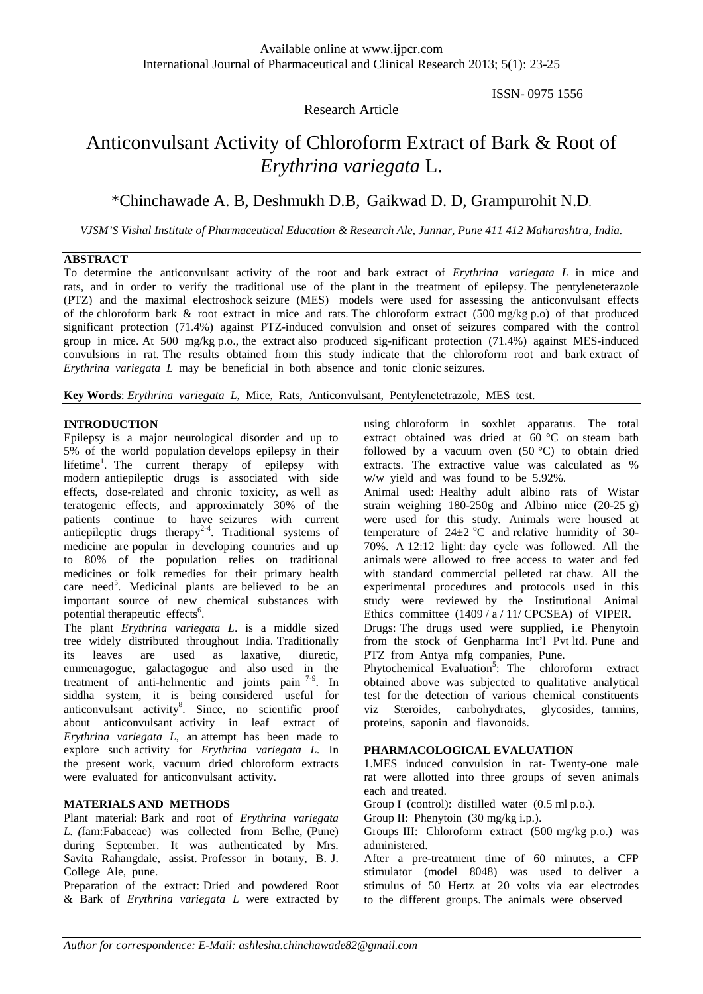# ISSN- 0975 1556

# Anticonvulsant Activity of Chloroform Extract of Bark & Root of *Erythrina variegata* L.

Research Article

# \*Chinchawade A. B, Deshmukh D.B, Gaikwad D. D, Grampurohit N.D.

*VJSM'S Vishal Institute of Pharmaceutical Education & Research Ale, Junnar, Pune 411 412 Maharashtra, India.*

#### **ABSTRACT**

To determine the anticonvulsant activity of the root and bark extract of *Erythrina variegata L* in mice and rats, and in order to verify the traditional use of the plant in the treatment of epilepsy. The pentyleneterazole (PTZ) and the maximal electroshock seizure (MES) models were used for assessing the anticonvulsant effects of the chloroform bark & root extract in mice and rats. The chloroform extract (500 mg/kg p.o) of that produced significant protection (71.4%) against PTZ-induced convulsion and onset of seizures compared with the control group in mice. At 500 mg/kg p.o., the extract also produced sig-nificant protection (71.4%) against MES-induced convulsions in rat. The results obtained from this study indicate that the chloroform root and bark extract of *Erythrina variegata L* may be beneficial in both absence and tonic clonic seizures.

**Key Words**: *Erythrina variegata L,* Mice, Rats, Anticonvulsant, Pentylenetetrazole, MES test.

#### **INTRODUCTION**

Epilepsy is a major neurological disorder and up to 5% of the world population develops epilepsy in their lifetime<sup>1</sup>. The current therapy of epilepsy with modern antiepileptic drugs is associated with side effects, dose-related and chronic toxicity, as well as teratogenic effects, and approximately 30% of the patients continue to have seizures with current antiepileptic drugs therapy<sup>2-4</sup>. Traditional systems of medicine are popular in developing countries and up to 80% of the population relies on traditional medicines or folk remedies for their primary health care need<sup>5</sup>. Medicinal plants are believed to be an important source of new chemical substances with potential therapeutic effects<sup>6</sup>.

The plant *Erythrina variegata L*. is a middle sized tree widely distributed throughout India. Traditionally its leaves are used as laxative, diuretic, emmenagogue, galactagogue and also used in the treatment of anti-helmentic and joints pain <sup>7-9</sup>. In siddha system, it is being considered useful for anticonvulsant activity<sup>8</sup>. Since, no scientific proof about anticonvulsant activity in leaf extract of *Erythrina variegata L*, an attempt has been made to explore such activity for *Erythrina variegata L.* In the present work, vacuum dried chloroform extracts were evaluated for anticonvulsant activity.

# **MATERIALS AND METHODS**

Plant material: Bark and root of *Erythrina variegata L. (*fam:Fabaceae) was collected from Belhe, (Pune) during September. It was authenticated by Mrs. Savita Rahangdale, assist. Professor in botany, B. J. College Ale, pune.

Preparation of the extract: Dried and powdered Root & Bark of *Erythrina variegata L* were extracted by

using chloroform in soxhlet apparatus. The total extract obtained was dried at  $\overline{60}$  °C on steam bath followed by a vacuum oven  $(50 °C)$  to obtain dried extracts. The extractive value was calculated as % w/w yield and was found to be 5.92%.

Animal used: Healthy adult albino rats of Wistar strain weighing 180-250g and Albino mice (20-25 g) were used for this study. Animals were housed at temperature of  $24\pm2$  °C and relative humidity of 30-70%. A 12:12 light: day cycle was followed. All the animals were allowed to free access to water and fed with standard commercial pelleted rat chaw. All the experimental procedures and protocols used in this study were reviewed by the Institutional Animal Ethics committee (1409 / a / 11/ CPCSEA) of VIPER.

Drugs: The drugs used were supplied, i.e Phenytoin from the stock of Genpharma Int'l Pvt ltd. Pune and PTZ from Antya mfg companies, Pune.

Phytochemical Evaluation<sup>5</sup>: The chloroform extract obtained above was subjected to qualitative analytical test for the detection of various chemical constituents viz Steroides, carbohydrates, glycosides, tannins, proteins, saponin and flavonoids.

#### **PHARMACOLOGICAL EVALUATION**

1.MES induced convulsion in rat- Twenty-one male rat were allotted into three groups of seven animals each and treated.

Group I (control): distilled water (0.5 ml p.o.).

Group II: Phenytoin (30 mg/kg i.p.).

Groups III: Chloroform extract (500 mg/kg p.o.) was administered.

After a pre-treatment time of 60 minutes, a CFP stimulator (model 8048) was used to deliver a stimulus of 50 Hertz at 20 volts via ear electrodes to the different groups. The animals were observed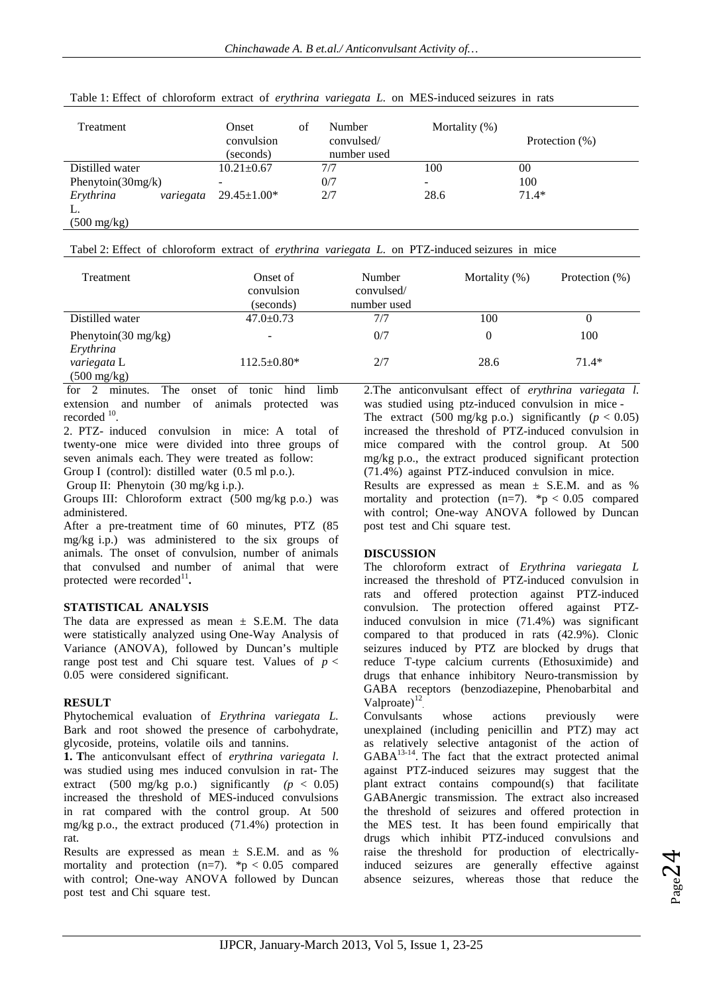| Treatment              | Onset<br>convulsion<br>(seconds) | Number<br>ΩŤ<br>convulsed/<br>number used | Mortality $(\%)$ | Protection $(\%)$ |
|------------------------|----------------------------------|-------------------------------------------|------------------|-------------------|
| Distilled water        | $10.21 \pm 0.67$                 | 7/7                                       | 100              | 00                |
| Phenytoin $(30mg/k)$   | -                                | 0/7                                       | -                | 100               |
| Erythrina<br>variegata | $29.45 \pm 1.00*$                | 2/7                                       | 28.6             | $71.4*$           |
| L.                     |                                  |                                           |                  |                   |
| $(500 \text{ mg/kg})$  |                                  |                                           |                  |                   |

Table 1: Effect of chloroform extract of *erythrina variegata L.* on MES-induced seizures in rats

| Treatment                                    | Onset of<br>convulsion<br>(seconds) | Number<br>convulsed/<br>number used | Mortality $(\%)$ | Protection (%) |
|----------------------------------------------|-------------------------------------|-------------------------------------|------------------|----------------|
| Distilled water                              | $47.0 \pm 0.73$                     | 7/7                                 | 100              | O              |
| Phenytoin( $30 \text{ mg/kg}$ )<br>Erythrina | -                                   | 0/7                                 |                  | 100            |
| variegata L<br>$(500 \text{ mg/kg})$         | $112.5 \pm 0.80*$                   | 2/7                                 | 28.6             | $71.4*$        |

for 2 minutes. The onset of tonic hind limb extension and number of animals protected was recorded <sup>10</sup>.

2. PTZ- induced convulsion in mice: A total of twenty-one mice were divided into three groups of seven animals each. They were treated as follow: Group I (control): distilled water (0.5 ml p.o.).

Group II: Phenytoin (30 mg/kg i.p.).

Groups III: Chloroform extract (500 mg/kg p.o.) was administered.

After a pre-treatment time of 60 minutes, PTZ (85 mg/kg i.p.) was administered to the six groups of animals. The onset of convulsion, number of animals that convulsed and number of animal that were protected were recorded<sup>11</sup>.

# **STATISTICAL ANALYSIS**

The data are expressed as mean  $\pm$  S.E.M. The data were statistically analyzed using One-Way Analysis of Variance (ANOVA), followed by Duncan's multiple range post test and Chi square test. Values of  $p <$ 0.05 were considered significant.

# **RESULT**

Phytochemical evaluation of *Erythrina variegata L.* Bark and root showed the presence of carbohydrate, glycoside, proteins, volatile oils and tannins.

**1. T**he anticonvulsant effect of *erythrina variegata l*. was studied using mes induced convulsion in rat- The extract (500 mg/kg p.o.) significantly  $(p < 0.05)$ increased the threshold of MES-induced convulsions in rat compared with the control group. At 500 mg/kg p.o., the extract produced (71.4%) protection in rat.

Results are expressed as mean  $\pm$  S.E.M. and as % mortality and protection  $(n=7)$ . \*p < 0.05 compared with control; One-way ANOVA followed by Duncan post test and Chi square test.

2.The anticonvulsant effect of *erythrina variegata l*. was studied using ptz-induced convulsion in mice - The extract (500 mg/kg p.o.) significantly  $(p < 0.05)$ increased the threshold of PTZ-induced convulsion in mice compared with the control group. At 500 mg/kg p.o., the extract produced significant protection (71.4%) against PTZ-induced convulsion in mice.

Results are expressed as mean  $\pm$  S.E.M. and as % mortality and protection  $(n=7)$ . \*p < 0.05 compared with control; One-way ANOVA followed by Duncan post test and Chi square test.

# **DISCUSSION**

The chloroform extract of *Erythrina variegata L* increased the threshold of PTZ-induced convulsion in rats and offered protection against PTZ-induced convulsion. The protection offered against PTZinduced convulsion in mice (71.4%) was significant compared to that produced in rats (42.9%). Clonic seizures induced by PTZ are blocked by drugs that reduce T-type calcium currents (Ethosuximide) and drugs that enhance inhibitory Neuro-transmission by GABA receptors (benzodiazepine, Phenobarbital and Valproate)<sup>12</sup>

Convulsants whose actions previously were unexplained (including penicillin and PTZ) may act as relatively selective antagonist of the action of  $GABA^{13-14}$ . The fact that the extract protected animal against PTZ-induced seizures may suggest that the plant extract contains compound(s) that facilitate GABAnergic transmission. The extract also increased the threshold of seizures and offered protection in the MES test. It has been found empirically that drugs which inhibit PTZ-induced convulsions and raise the threshold for production of electricallyinduced seizures are generally effective against absence seizures, whereas those that reduce the

$$
P_{\rm age} 24
$$